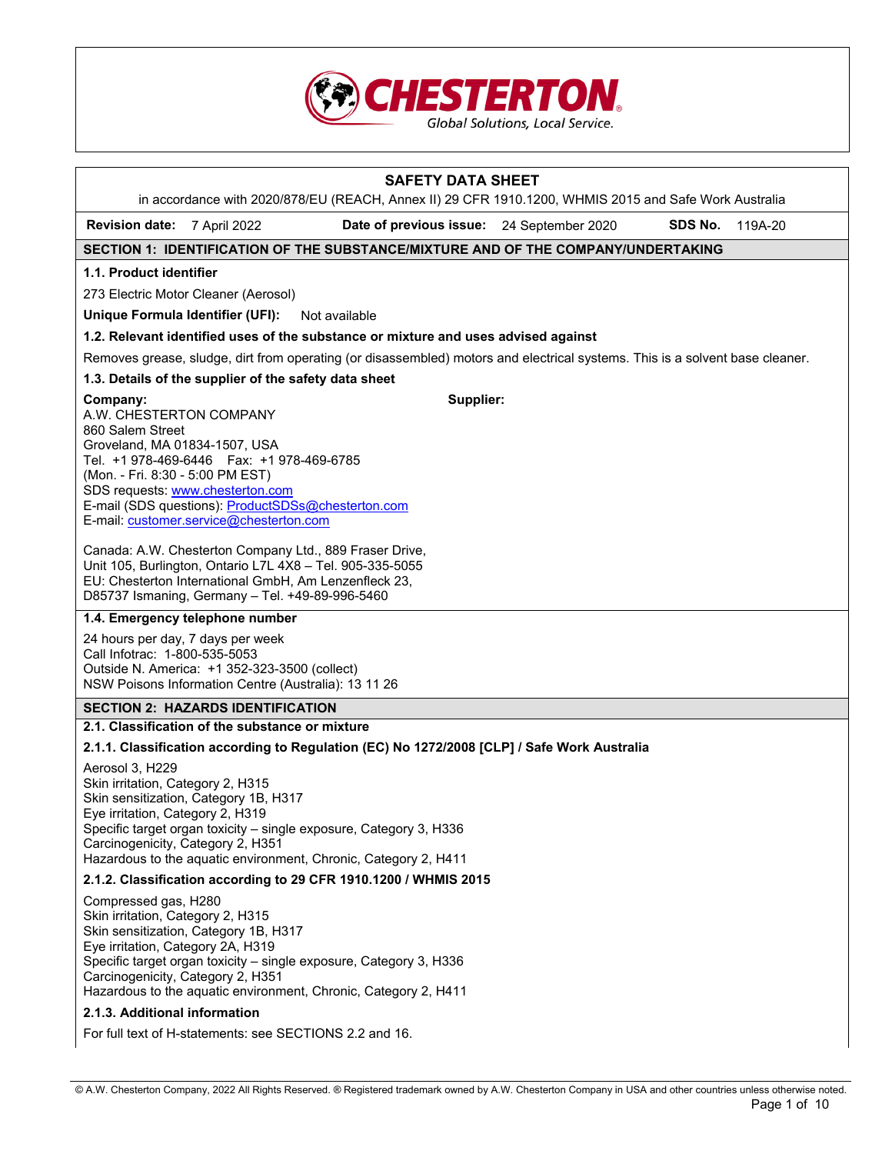

|                                                                                                                                     |                                                                                                                                                                                                                                  | <b>SAFETY DATA SHEET</b>                                                                                                                           |         |         |
|-------------------------------------------------------------------------------------------------------------------------------------|----------------------------------------------------------------------------------------------------------------------------------------------------------------------------------------------------------------------------------|----------------------------------------------------------------------------------------------------------------------------------------------------|---------|---------|
| <b>Revision date:</b>                                                                                                               | 7 April 2022                                                                                                                                                                                                                     | in accordance with 2020/878/EU (REACH, Annex II) 29 CFR 1910.1200, WHMIS 2015 and Safe Work Australia<br>Date of previous issue: 24 September 2020 | SDS No. | 119A-20 |
|                                                                                                                                     |                                                                                                                                                                                                                                  | SECTION 1: IDENTIFICATION OF THE SUBSTANCE/MIXTURE AND OF THE COMPANY/UNDERTAKING                                                                  |         |         |
| 1.1. Product identifier                                                                                                             |                                                                                                                                                                                                                                  |                                                                                                                                                    |         |         |
|                                                                                                                                     | 273 Electric Motor Cleaner (Aerosol)                                                                                                                                                                                             |                                                                                                                                                    |         |         |
| Unique Formula Identifier (UFI):                                                                                                    |                                                                                                                                                                                                                                  | Not available                                                                                                                                      |         |         |
|                                                                                                                                     |                                                                                                                                                                                                                                  | 1.2. Relevant identified uses of the substance or mixture and uses advised against                                                                 |         |         |
|                                                                                                                                     |                                                                                                                                                                                                                                  | Removes grease, sludge, dirt from operating (or disassembled) motors and electrical systems. This is a solvent base cleaner.                       |         |         |
|                                                                                                                                     | 1.3. Details of the supplier of the safety data sheet                                                                                                                                                                            |                                                                                                                                                    |         |         |
| Company:<br>A.W. CHESTERTON COMPANY<br>860 Salem Street<br>Groveland, MA 01834-1507, USA<br>(Mon. - Fri. 8:30 - 5:00 PM EST)        | Tel. +1 978-469-6446    Fax: +1 978-469-6785<br>SDS requests: www.chesterton.com<br>E-mail (SDS questions): ProductSDSs@chesterton.com<br>E-mail: customer.service@chesterton.com                                                | Supplier:                                                                                                                                          |         |         |
|                                                                                                                                     | Canada: A.W. Chesterton Company Ltd., 889 Fraser Drive,<br>Unit 105, Burlington, Ontario L7L 4X8 - Tel. 905-335-5055<br>EU: Chesterton International GmbH, Am Lenzenfleck 23,<br>D85737 Ismaning, Germany - Tel. +49-89-996-5460 |                                                                                                                                                    |         |         |
|                                                                                                                                     | 1.4. Emergency telephone number                                                                                                                                                                                                  |                                                                                                                                                    |         |         |
| 24 hours per day, 7 days per week<br>Call Infotrac: 1-800-535-5053                                                                  | Outside N. America: +1 352-323-3500 (collect)<br>NSW Poisons Information Centre (Australia): 13 11 26                                                                                                                            |                                                                                                                                                    |         |         |
|                                                                                                                                     | <b>SECTION 2: HAZARDS IDENTIFICATION</b>                                                                                                                                                                                         |                                                                                                                                                    |         |         |
|                                                                                                                                     | 2.1. Classification of the substance or mixture                                                                                                                                                                                  |                                                                                                                                                    |         |         |
|                                                                                                                                     |                                                                                                                                                                                                                                  | 2.1.1. Classification according to Regulation (EC) No 1272/2008 [CLP] / Safe Work Australia                                                        |         |         |
| Aerosol 3, H229<br>Skin irritation, Category 2, H315<br>Eye irritation, Category 2, H319<br>Carcinogenicity, Category 2, H351       | Skin sensitization, Category 1B, H317                                                                                                                                                                                            | Specific target organ toxicity - single exposure, Category 3, H336<br>Hazardous to the aquatic environment, Chronic, Category 2, H411              |         |         |
|                                                                                                                                     |                                                                                                                                                                                                                                  | 2.1.2. Classification according to 29 CFR 1910.1200 / WHMIS 2015                                                                                   |         |         |
| Compressed gas, H280<br>Skin irritation, Category 2, H315<br>Eye irritation, Category 2A, H319<br>Carcinogenicity, Category 2, H351 | Skin sensitization, Category 1B, H317                                                                                                                                                                                            | Specific target organ toxicity - single exposure, Category 3, H336<br>Hazardous to the aquatic environment, Chronic, Category 2, H411              |         |         |
| 2.1.3. Additional information                                                                                                       |                                                                                                                                                                                                                                  |                                                                                                                                                    |         |         |

For full text of H-statements: see SECTIONS 2.2 and 16.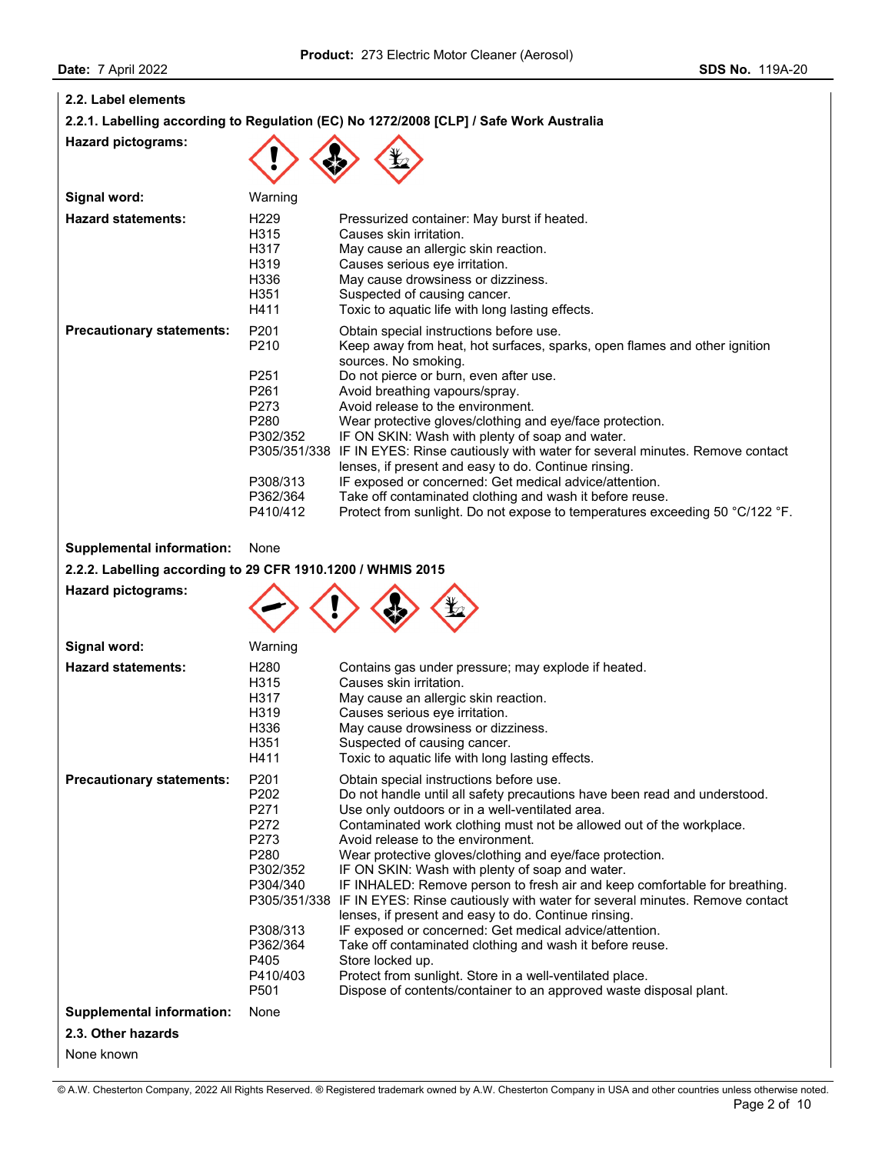| 2.2. Label elements       |                                                               |                                                                                                                                                                                        |
|---------------------------|---------------------------------------------------------------|----------------------------------------------------------------------------------------------------------------------------------------------------------------------------------------|
|                           |                                                               | 2.2.1. Labelling according to Regulation (EC) No 1272/2008 [CLP] / Safe Work Australia                                                                                                 |
| <b>Hazard pictograms:</b> |                                                               |                                                                                                                                                                                        |
| Signal word:              | Warning                                                       |                                                                                                                                                                                        |
| <b>Hazard statements:</b> | H <sub>229</sub><br>H315<br>H317<br>H <sub>3</sub> 19<br>H336 | Pressurized container: May burst if heated.<br>Causes skin irritation.<br>May cause an allergic skin reaction.<br>Causes serious eye irritation.<br>May cause drowsiness or dizziness. |

|                                  | H <sub>351</sub><br>H411             | Suspected of causing cancer.<br>Toxic to aguatic life with long lasting effects.                                                                 |
|----------------------------------|--------------------------------------|--------------------------------------------------------------------------------------------------------------------------------------------------|
| <b>Precautionary statements:</b> | P <sub>201</sub><br>P <sub>210</sub> | Obtain special instructions before use.<br>Keep away from heat, hot surfaces, sparks, open flames and other ignition<br>sources. No smoking.     |
|                                  | P <sub>251</sub>                     | Do not pierce or burn, even after use.                                                                                                           |
|                                  | P <sub>261</sub>                     | Avoid breathing vapours/spray.                                                                                                                   |
|                                  | P <sub>273</sub>                     | Avoid release to the environment.                                                                                                                |
|                                  | P <sub>280</sub>                     | Wear protective gloves/clothing and eye/face protection.                                                                                         |
|                                  | P302/352                             | IF ON SKIN: Wash with plenty of soap and water.                                                                                                  |
|                                  |                                      | P305/351/338 IF IN EYES: Rinse cautiously with water for several minutes. Remove contact<br>lenses, if present and easy to do. Continue rinsing. |
|                                  | P308/313                             | IF exposed or concerned: Get medical advice/attention.                                                                                           |
|                                  | P362/364                             | Take off contaminated clothing and wash it before reuse.                                                                                         |
|                                  | P410/412                             | Protect from sunlight. Do not expose to temperatures exceeding 50 °C/122 °F.                                                                     |

# **Supplemental information:** None

**2.2.2. Labelling according to 29 CFR 1910.1200 / WHMIS 2015**

# **Hazard pictograms:**



| Signal word:                     | Warning                                                                                                                                                                      |                                                                                                                                                                                                                                                                                                                                                                                                                                                                                                                                                                                                                                                                                                                                                                                                                                                                                                      |
|----------------------------------|------------------------------------------------------------------------------------------------------------------------------------------------------------------------------|------------------------------------------------------------------------------------------------------------------------------------------------------------------------------------------------------------------------------------------------------------------------------------------------------------------------------------------------------------------------------------------------------------------------------------------------------------------------------------------------------------------------------------------------------------------------------------------------------------------------------------------------------------------------------------------------------------------------------------------------------------------------------------------------------------------------------------------------------------------------------------------------------|
| <b>Hazard statements:</b>        | H <sub>280</sub><br>H315<br>H317<br>H319<br>H336<br>H351<br>H411                                                                                                             | Contains gas under pressure; may explode if heated.<br>Causes skin irritation.<br>May cause an allergic skin reaction.<br>Causes serious eye irritation.<br>May cause drowsiness or dizziness.<br>Suspected of causing cancer.<br>Toxic to aquatic life with long lasting effects.                                                                                                                                                                                                                                                                                                                                                                                                                                                                                                                                                                                                                   |
| <b>Precautionary statements:</b> | P <sub>201</sub><br>P202<br>P271<br>P272<br>P273<br>P <sub>280</sub><br>P302/352<br>P304/340<br>P305/351/338<br>P308/313<br>P362/364<br>P405<br>P410/403<br>P <sub>501</sub> | Obtain special instructions before use.<br>Do not handle until all safety precautions have been read and understood.<br>Use only outdoors or in a well-ventilated area.<br>Contaminated work clothing must not be allowed out of the workplace.<br>Avoid release to the environment.<br>Wear protective gloves/clothing and eye/face protection.<br>IF ON SKIN: Wash with plenty of soap and water.<br>IF INHALED: Remove person to fresh air and keep comfortable for breathing.<br>IF IN EYES: Rinse cautiously with water for several minutes. Remove contact<br>lenses, if present and easy to do. Continue rinsing.<br>IF exposed or concerned: Get medical advice/attention.<br>Take off contaminated clothing and wash it before reuse.<br>Store locked up.<br>Protect from sunlight. Store in a well-ventilated place.<br>Dispose of contents/container to an approved waste disposal plant. |
| <b>Supplemental information:</b> | None                                                                                                                                                                         |                                                                                                                                                                                                                                                                                                                                                                                                                                                                                                                                                                                                                                                                                                                                                                                                                                                                                                      |
| 2.3. Other hazards               |                                                                                                                                                                              |                                                                                                                                                                                                                                                                                                                                                                                                                                                                                                                                                                                                                                                                                                                                                                                                                                                                                                      |
| None known                       |                                                                                                                                                                              |                                                                                                                                                                                                                                                                                                                                                                                                                                                                                                                                                                                                                                                                                                                                                                                                                                                                                                      |

## © A.W. Chesterton Company, 2022 All Rights Reserved. ® Registered trademark owned by A.W. Chesterton Company in USA and other countries unless otherwise noted.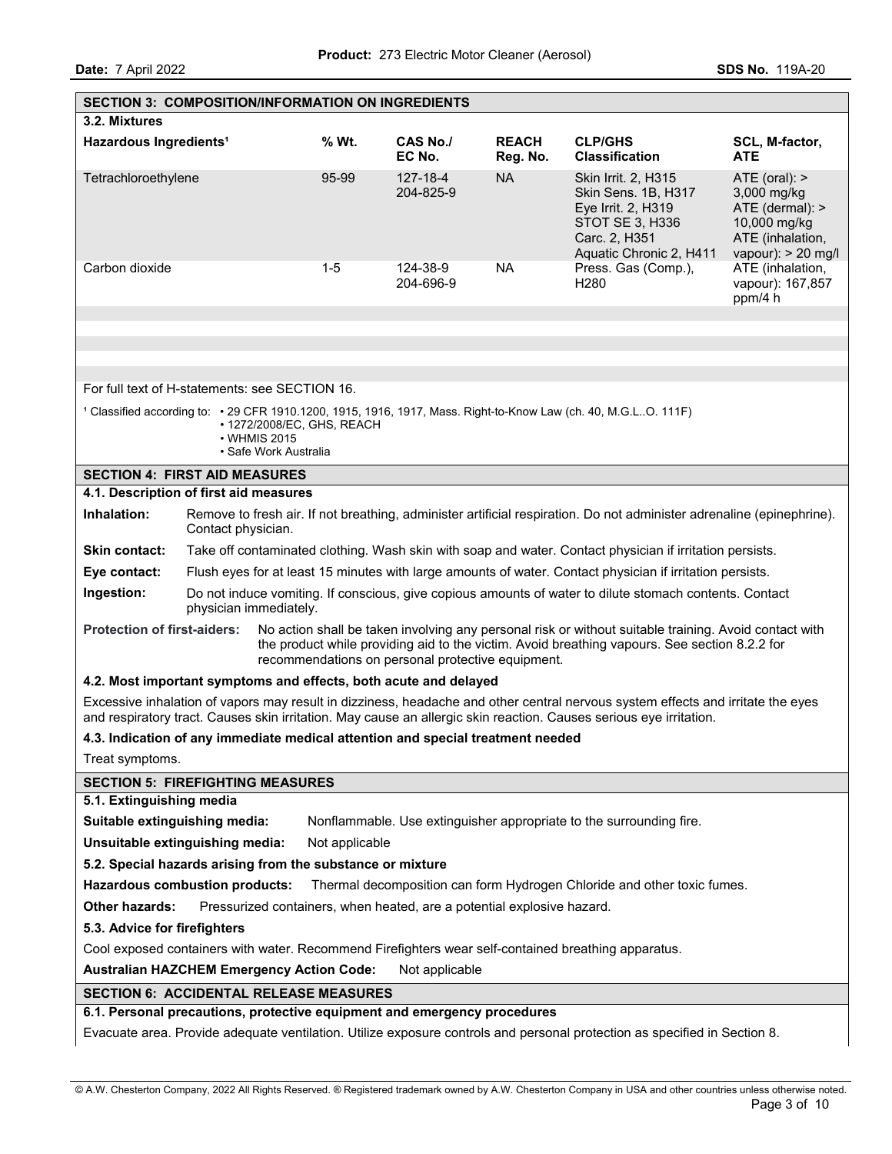| <b>SECTION 3: COMPOSITION/INFORMATION ON INGREDIENTS</b>                                            |                                                                                                                                                     |                                       |                            |                                                                                 |                                                                                                                                    |                                                                                                                                                                                                                                                       |                       |  |  |
|-----------------------------------------------------------------------------------------------------|-----------------------------------------------------------------------------------------------------------------------------------------------------|---------------------------------------|----------------------------|---------------------------------------------------------------------------------|------------------------------------------------------------------------------------------------------------------------------------|-------------------------------------------------------------------------------------------------------------------------------------------------------------------------------------------------------------------------------------------------------|-----------------------|--|--|
| 3.2. Mixtures                                                                                       |                                                                                                                                                     |                                       |                            |                                                                                 |                                                                                                                                    |                                                                                                                                                                                                                                                       |                       |  |  |
| Hazardous Ingredients <sup>1</sup>                                                                  |                                                                                                                                                     |                                       | % Wt.                      | <b>CAS No./</b><br>EC No.                                                       | <b>REACH</b><br>Reg. No.                                                                                                           | <b>CLP/GHS</b><br><b>Classification</b>                                                                                                                                                                                                               | SCL, M-factor,<br>ATE |  |  |
| Tetrachloroethylene                                                                                 | <b>NA</b><br>95-99<br>127-18-4<br>Skin Irrit. 2, H315<br>204-825-9<br>Skin Sens. 1B, H317<br>Eye Irrit. 2, H319<br>STOT SE 3, H336<br>Carc. 2, H351 |                                       |                            |                                                                                 |                                                                                                                                    | ATE (oral):<br>3,000 mg/kg<br>ATE (dermal): ><br>10,000 mg/kg<br>ATE (inhalation,<br>vapour): $> 20$ mg/l                                                                                                                                             |                       |  |  |
| Carbon dioxide                                                                                      |                                                                                                                                                     |                                       | $1 - 5$                    | 124-38-9<br>204-696-9                                                           | Aquatic Chronic 2, H411<br><b>NA</b><br>ATE (inhalation,<br>Press. Gas (Comp.),<br>H <sub>280</sub><br>vapour): 167,857<br>ppm/4 h |                                                                                                                                                                                                                                                       |                       |  |  |
|                                                                                                     |                                                                                                                                                     |                                       |                            |                                                                                 |                                                                                                                                    |                                                                                                                                                                                                                                                       |                       |  |  |
|                                                                                                     |                                                                                                                                                     |                                       |                            |                                                                                 |                                                                                                                                    |                                                                                                                                                                                                                                                       |                       |  |  |
| For full text of H-statements: see SECTION 16.                                                      |                                                                                                                                                     |                                       |                            |                                                                                 |                                                                                                                                    |                                                                                                                                                                                                                                                       |                       |  |  |
|                                                                                                     |                                                                                                                                                     |                                       |                            |                                                                                 |                                                                                                                                    | <sup>1</sup> Classified according to: • 29 CFR 1910.1200, 1915, 1916, 1917, Mass. Right-to-Know Law (ch. 40, M.G.LO. 111F)                                                                                                                            |                       |  |  |
|                                                                                                     |                                                                                                                                                     | • WHMIS 2015<br>• Safe Work Australia | • 1272/2008/EC, GHS, REACH |                                                                                 |                                                                                                                                    |                                                                                                                                                                                                                                                       |                       |  |  |
| <b>SECTION 4: FIRST AID MEASURES</b>                                                                |                                                                                                                                                     |                                       |                            |                                                                                 |                                                                                                                                    |                                                                                                                                                                                                                                                       |                       |  |  |
| 4.1. Description of first aid measures                                                              |                                                                                                                                                     |                                       |                            |                                                                                 |                                                                                                                                    |                                                                                                                                                                                                                                                       |                       |  |  |
| Inhalation:                                                                                         | Contact physician.                                                                                                                                  |                                       |                            |                                                                                 |                                                                                                                                    | Remove to fresh air. If not breathing, administer artificial respiration. Do not administer adrenaline (epinephrine).                                                                                                                                 |                       |  |  |
| Skin contact:                                                                                       |                                                                                                                                                     |                                       |                            |                                                                                 |                                                                                                                                    | Take off contaminated clothing. Wash skin with soap and water. Contact physician if irritation persists.                                                                                                                                              |                       |  |  |
| Eye contact:                                                                                        |                                                                                                                                                     |                                       |                            |                                                                                 |                                                                                                                                    | Flush eyes for at least 15 minutes with large amounts of water. Contact physician if irritation persists.                                                                                                                                             |                       |  |  |
| Ingestion:                                                                                          |                                                                                                                                                     | physician immediately.                |                            |                                                                                 |                                                                                                                                    | Do not induce vomiting. If conscious, give copious amounts of water to dilute stomach contents. Contact                                                                                                                                               |                       |  |  |
| <b>Protection of first-aiders:</b>                                                                  |                                                                                                                                                     |                                       |                            | recommendations on personal protective equipment.                               |                                                                                                                                    | No action shall be taken involving any personal risk or without suitable training. Avoid contact with<br>the product while providing aid to the victim. Avoid breathing vapours. See section 8.2.2 for                                                |                       |  |  |
|                                                                                                     |                                                                                                                                                     |                                       |                            | 4.2. Most important symptoms and effects, both acute and delayed                |                                                                                                                                    |                                                                                                                                                                                                                                                       |                       |  |  |
|                                                                                                     |                                                                                                                                                     |                                       |                            |                                                                                 |                                                                                                                                    | Excessive inhalation of vapors may result in dizziness, headache and other central nervous system effects and irritate the eyes<br>and respiratory tract. Causes skin irritation. May cause an allergic skin reaction. Causes serious eye irritation. |                       |  |  |
|                                                                                                     |                                                                                                                                                     |                                       |                            | 4.3. Indication of any immediate medical attention and special treatment needed |                                                                                                                                    |                                                                                                                                                                                                                                                       |                       |  |  |
| Treat symptoms.                                                                                     |                                                                                                                                                     |                                       |                            |                                                                                 |                                                                                                                                    |                                                                                                                                                                                                                                                       |                       |  |  |
| <b>SECTION 5: FIREFIGHTING MEASURES</b>                                                             |                                                                                                                                                     |                                       |                            |                                                                                 |                                                                                                                                    |                                                                                                                                                                                                                                                       |                       |  |  |
| 5.1. Extinguishing media                                                                            |                                                                                                                                                     |                                       |                            |                                                                                 |                                                                                                                                    |                                                                                                                                                                                                                                                       |                       |  |  |
| Suitable extinguishing media:<br>Unsuitable extinguishing media:                                    |                                                                                                                                                     |                                       |                            |                                                                                 |                                                                                                                                    | Nonflammable. Use extinguisher appropriate to the surrounding fire.                                                                                                                                                                                   |                       |  |  |
| 5.2. Special hazards arising from the substance or mixture                                          |                                                                                                                                                     |                                       | Not applicable             |                                                                                 |                                                                                                                                    |                                                                                                                                                                                                                                                       |                       |  |  |
| <b>Hazardous combustion products:</b>                                                               |                                                                                                                                                     |                                       |                            |                                                                                 |                                                                                                                                    | Thermal decomposition can form Hydrogen Chloride and other toxic fumes.                                                                                                                                                                               |                       |  |  |
| <b>Other hazards:</b>                                                                               |                                                                                                                                                     |                                       |                            |                                                                                 |                                                                                                                                    |                                                                                                                                                                                                                                                       |                       |  |  |
|                                                                                                     | Pressurized containers, when heated, are a potential explosive hazard.<br>5.3. Advice for firefighters                                              |                                       |                            |                                                                                 |                                                                                                                                    |                                                                                                                                                                                                                                                       |                       |  |  |
| Cool exposed containers with water. Recommend Firefighters wear self-contained breathing apparatus. |                                                                                                                                                     |                                       |                            |                                                                                 |                                                                                                                                    |                                                                                                                                                                                                                                                       |                       |  |  |
| <b>Australian HAZCHEM Emergency Action Code:</b><br>Not applicable                                  |                                                                                                                                                     |                                       |                            |                                                                                 |                                                                                                                                    |                                                                                                                                                                                                                                                       |                       |  |  |
| <b>SECTION 6: ACCIDENTAL RELEASE MEASURES</b>                                                       |                                                                                                                                                     |                                       |                            |                                                                                 |                                                                                                                                    |                                                                                                                                                                                                                                                       |                       |  |  |
| 6.1. Personal precautions, protective equipment and emergency procedures                            |                                                                                                                                                     |                                       |                            |                                                                                 |                                                                                                                                    |                                                                                                                                                                                                                                                       |                       |  |  |
|                                                                                                     | Evacuate area. Provide adequate ventilation. Utilize exposure controls and personal protection as specified in Section 8.                           |                                       |                            |                                                                                 |                                                                                                                                    |                                                                                                                                                                                                                                                       |                       |  |  |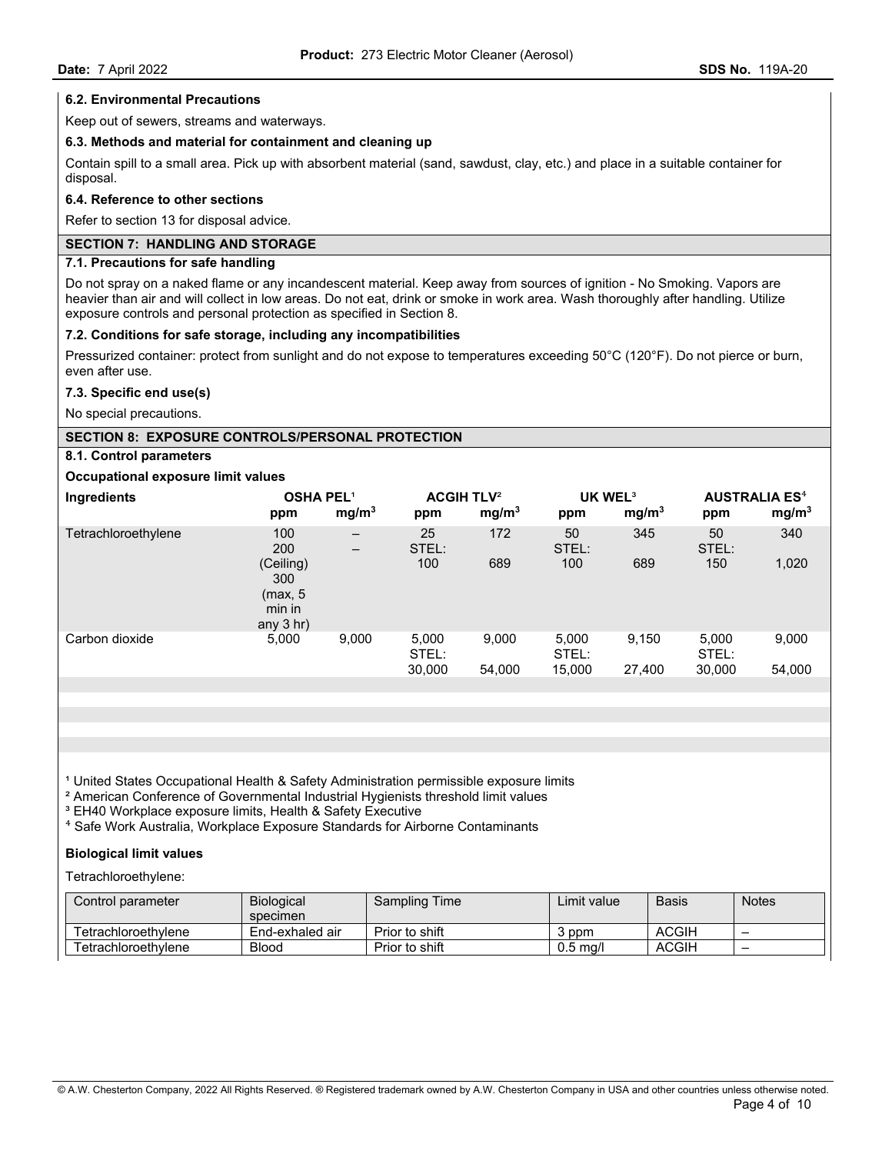#### **6.2. Environmental Precautions**

Keep out of sewers, streams and waterways.

#### **6.3. Methods and material for containment and cleaning up**

Contain spill to a small area. Pick up with absorbent material (sand, sawdust, clay, etc.) and place in a suitable container for disposal.

## **6.4. Reference to other sections**

Refer to section 13 for disposal advice.

### **SECTION 7: HANDLING AND STORAGE**

## **7.1. Precautions for safe handling**

Do not spray on a naked flame or any incandescent material. Keep away from sources of ignition - No Smoking. Vapors are heavier than air and will collect in low areas. Do not eat, drink or smoke in work area. Wash thoroughly after handling. Utilize exposure controls and personal protection as specified in Section 8.

#### **7.2. Conditions for safe storage, including any incompatibilities**

Pressurized container: protect from sunlight and do not expose to temperatures exceeding 50°C (120°F). Do not pierce or burn, even after use.

## **7.3. Specific end use(s)**

No special precautions.

#### **SECTION 8: EXPOSURE CONTROLS/PERSONAL PROTECTION**

## **8.1. Control parameters**

#### **Occupational exposure limit values**

| Ingredients         | <b>OSHA PEL1</b><br>ppm                              | mg/m <sup>3</sup>                      | <b>ACGIH TLV<sup>2</sup></b><br>ppm | mg/m <sup>3</sup> | UK WEL <sup>3</sup><br>ppm | mg/m <sup>3</sup> | <b>AUSTRALIA ES<sup>4</sup></b><br>ppm | mg/m <sup>3</sup> |
|---------------------|------------------------------------------------------|----------------------------------------|-------------------------------------|-------------------|----------------------------|-------------------|----------------------------------------|-------------------|
| Tetrachloroethylene | 100<br>200                                           | $\qquad \qquad -$<br>$\qquad \qquad -$ | 25<br>STEL:                         | 172               | 50<br>STEL:                | 345               | 50<br>STEL:                            | 340               |
|                     | (Ceiling)<br>300<br>(max, 5<br>min in<br>any $3$ hr) |                                        | 100                                 | 689               | 100                        | 689               | 150                                    | 1,020             |
| Carbon dioxide      | 5,000                                                | 9,000                                  | 5,000<br>STEL:<br>30,000            | 9,000<br>54,000   | 5,000<br>STEL:<br>15,000   | 9,150<br>27,400   | 5,000<br>STEL:<br>30,000               | 9,000<br>54,000   |
|                     |                                                      |                                        |                                     |                   |                            |                   |                                        |                   |

<sup>1</sup> United States Occupational Health & Safety Administration permissible exposure limits

² American Conference of Governmental Industrial Hygienists threshold limit values

<sup>3</sup> EH40 Workplace exposure limits, Health & Safety Executive

⁴ Safe Work Australia, Workplace Exposure Standards for Airborne Contaminants

#### **Biological limit values**

Tetrachloroethylene:

| Control parameter⊥  | <b>Biological</b><br>specimen | Sampling Time  | Limit value | <b>Basis</b> | <b>Notes</b> |
|---------------------|-------------------------------|----------------|-------------|--------------|--------------|
| Tetrachloroethvlene | End-exhaled air               | Prior to shift | 3 ppm       | <b>ACGIH</b> | -            |
| Tetrachloroethvlene | <b>Blood</b>                  | Prior to shift | $0.5$ ma/l  | ACGIH        | -            |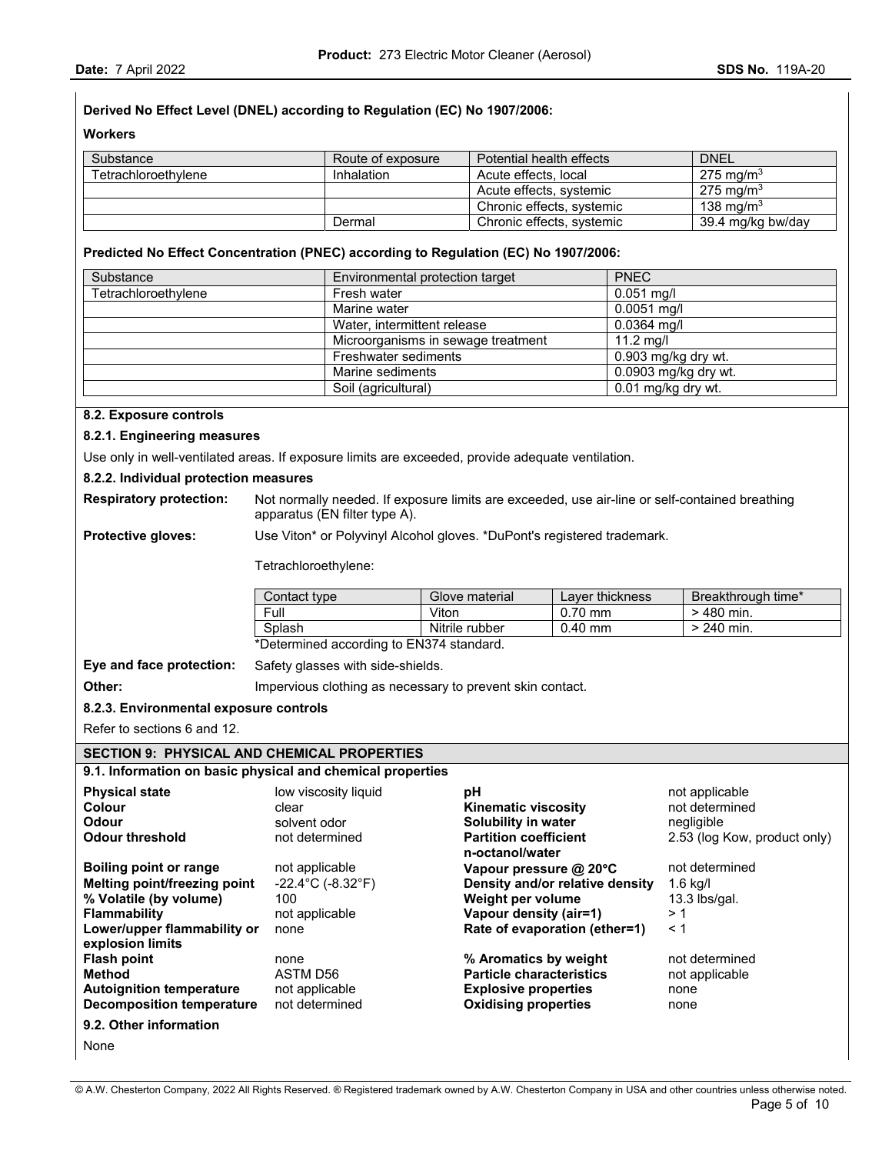## **Derived No Effect Level (DNEL) according to Regulation (EC) No 1907/2006:**

**Workers** 

| Substance           | Route of exposure | Potential health effects  | <b>DNEL</b>           |
|---------------------|-------------------|---------------------------|-----------------------|
| Tetrachloroethvlene | Inhalation        | Acute effects, local      | 275 mg/m <sup>3</sup> |
|                     |                   | Acute effects, systemic   | 275 mg/m <sup>3</sup> |
|                     |                   | Chronic effects, systemic | 138 ma/m $3$          |
|                     | Dermal            | Chronic effects, systemic | 39.4 mg/kg bw/day     |

## **Predicted No Effect Concentration (PNEC) according to Regulation (EC) No 1907/2006:**

| Substance           | Environmental protection target    | <b>PNEC</b>            |
|---------------------|------------------------------------|------------------------|
| Tetrachloroethylene | Fresh water                        | $0.051$ mg/l           |
|                     | Marine water                       | $0.0051$ mg/l          |
|                     | Water, intermittent release        | $0.0364$ mg/l          |
|                     | Microorganisms in sewage treatment | $11.2 \text{ mq/l}$    |
|                     | Freshwater sediments               | 0.903 mg/kg dry wt.    |
|                     | Marine sediments                   | $0.0903$ mg/kg dry wt. |
|                     | Soil (agricultural)                | 0.01 mg/kg dry wt.     |

#### **8.2. Exposure controls**

#### **8.2.1. Engineering measures**

Use only in well-ventilated areas. If exposure limits are exceeded, provide adequate ventilation.

#### **8.2.2. Individual protection measures**

**Respiratory protection:** Not normally needed. If exposure limits are exceeded, use air-line or self-contained breathing apparatus (EN filter type A).

**Protective gloves:** Use Viton\* or Polyvinyl Alcohol gloves. \*DuPont's registered trademark.

Tetrachloroethylene:

| Contact type | Glove material | Laver thickness | Breakthrough time* |
|--------------|----------------|-----------------|--------------------|
| Full         | Viton          | $0.70$ mm       | > 480 min.         |
| Splash       | Nitrile rubber | $0.40$ mm       | $> 240$ min.       |

**Eye and face protection:** Safety glasses with side-shields.

**Other: IMPERTY CONTERNATE:** Impervious clothing as necessary to prevent skin contact.

## **8.2.3. Environmental exposure controls**

Refer to sections 6 and 12.

#### **SECTION 9: PHYSICAL AND CHEMICAL PROPERTIES**

#### **9.1. Information on basic physical and chemical properties**

| <b>Physical state</b><br>Colour<br>Odour            | low viscosity liquid<br>clear<br>solvent odor | рH<br><b>Kinematic viscosity</b><br>Solubility in water | not applicable<br>not determined<br>negligible |
|-----------------------------------------------------|-----------------------------------------------|---------------------------------------------------------|------------------------------------------------|
| Odour threshold                                     | not determined                                | <b>Partition coefficient</b><br>n-octanol/water         | 2.53 (log Kow, product only)                   |
| <b>Boiling point or range</b>                       | not applicable                                | Vapour pressure @ 20°C                                  | not determined                                 |
| Melting point/freezing point                        | $-22.4^{\circ}$ C (-8.32 $^{\circ}$ F)        | Density and/or relative density                         | $1.6$ kg/l                                     |
| % Volatile (by volume)                              | 100                                           | Weight per volume                                       | $13.3$ lbs/gal.                                |
| <b>Flammability</b>                                 | not applicable                                | Vapour density (air=1)                                  | >1                                             |
| Lower/upper flammability or<br>explosion limits     | none                                          | Rate of evaporation (ether=1)                           | < 1                                            |
| <b>Flash point</b>                                  | none                                          | % Aromatics by weight                                   | not determined                                 |
| <b>Method</b>                                       | ASTM D56                                      | <b>Particle characteristics</b>                         | not applicable                                 |
| <b>Autoignition temperature</b>                     | not applicable                                | <b>Explosive properties</b>                             | none                                           |
| Decomposition temperature                           | not determined                                | <b>Oxidising properties</b>                             | none                                           |
| 9.2. Other information                              |                                               |                                                         |                                                |
| $\mathbf{A}$ <b>1</b> = $\mathbf{A}$ = $\mathbf{A}$ |                                               |                                                         |                                                |

None

© A.W. Chesterton Company, 2022 All Rights Reserved. ® Registered trademark owned by A.W. Chesterton Company in USA and other countries unless otherwise noted.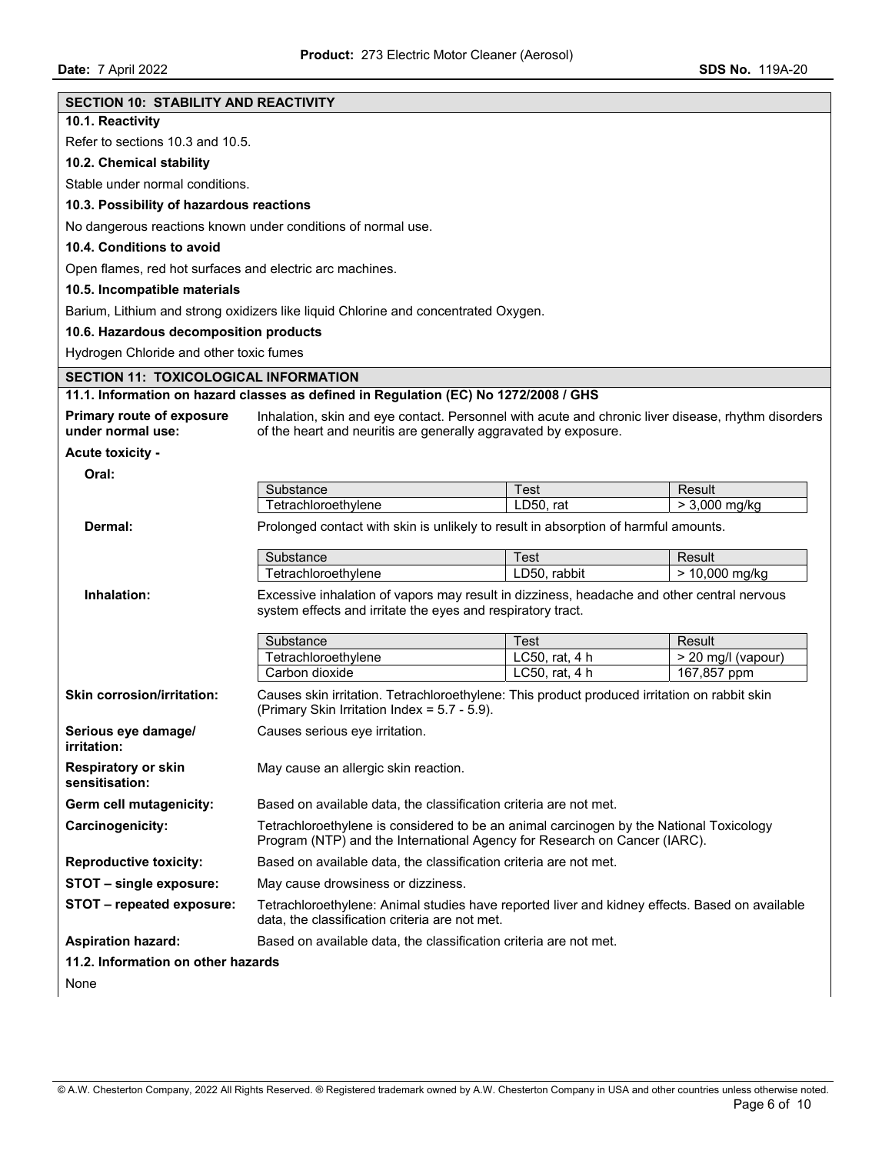| <b>SECTION 10: STABILITY AND REACTIVITY</b>              |                                                                                                                                                                      |                |                           |  |  |
|----------------------------------------------------------|----------------------------------------------------------------------------------------------------------------------------------------------------------------------|----------------|---------------------------|--|--|
| 10.1. Reactivity                                         |                                                                                                                                                                      |                |                           |  |  |
| Refer to sections 10.3 and 10.5.                         |                                                                                                                                                                      |                |                           |  |  |
| 10.2. Chemical stability                                 |                                                                                                                                                                      |                |                           |  |  |
| Stable under normal conditions.                          |                                                                                                                                                                      |                |                           |  |  |
| 10.3. Possibility of hazardous reactions                 |                                                                                                                                                                      |                |                           |  |  |
|                                                          | No dangerous reactions known under conditions of normal use.                                                                                                         |                |                           |  |  |
| 10.4. Conditions to avoid                                |                                                                                                                                                                      |                |                           |  |  |
| Open flames, red hot surfaces and electric arc machines. |                                                                                                                                                                      |                |                           |  |  |
| 10.5. Incompatible materials                             |                                                                                                                                                                      |                |                           |  |  |
|                                                          | Barium, Lithium and strong oxidizers like liquid Chlorine and concentrated Oxygen.                                                                                   |                |                           |  |  |
| 10.6. Hazardous decomposition products                   |                                                                                                                                                                      |                |                           |  |  |
| Hydrogen Chloride and other toxic fumes                  |                                                                                                                                                                      |                |                           |  |  |
| <b>SECTION 11: TOXICOLOGICAL INFORMATION</b>             |                                                                                                                                                                      |                |                           |  |  |
|                                                          | 11.1. Information on hazard classes as defined in Regulation (EC) No 1272/2008 / GHS                                                                                 |                |                           |  |  |
| <b>Primary route of exposure</b>                         | Inhalation, skin and eye contact. Personnel with acute and chronic liver disease, rhythm disorders                                                                   |                |                           |  |  |
| under normal use:                                        | of the heart and neuritis are generally aggravated by exposure.                                                                                                      |                |                           |  |  |
| <b>Acute toxicity -</b>                                  |                                                                                                                                                                      |                |                           |  |  |
| Oral:                                                    |                                                                                                                                                                      |                |                           |  |  |
|                                                          | Substance<br>Tetrachloroethylene                                                                                                                                     | <b>Test</b>    | Result<br>$> 3,000$ mg/kg |  |  |
|                                                          |                                                                                                                                                                      | LD50, rat      |                           |  |  |
| Dermal:                                                  | Prolonged contact with skin is unlikely to result in absorption of harmful amounts.                                                                                  |                |                           |  |  |
|                                                          | Substance                                                                                                                                                            | Test           | Result                    |  |  |
|                                                          | Tetrachloroethylene                                                                                                                                                  | LD50, rabbit   | $> 10,000$ mg/kg          |  |  |
| Inhalation:                                              | Excessive inhalation of vapors may result in dizziness, headache and other central nervous                                                                           |                |                           |  |  |
|                                                          | system effects and irritate the eyes and respiratory tract.                                                                                                          |                |                           |  |  |
|                                                          | Substance                                                                                                                                                            | Test           | Result                    |  |  |
|                                                          | Tetrachloroethylene                                                                                                                                                  | LC50, rat, 4 h | > 20 mg/l (vapour)        |  |  |
|                                                          | Carbon dioxide                                                                                                                                                       | LC50, rat, 4 h | 167,857 ppm               |  |  |
| <b>Skin corrosion/irritation:</b>                        | Causes skin irritation. Tetrachloroethylene: This product produced irritation on rabbit skin<br>(Primary Skin Irritation Index = 5.7 - 5.9).                         |                |                           |  |  |
| Serious eye damage/                                      | Causes serious eye irritation.                                                                                                                                       |                |                           |  |  |
| irritation:                                              |                                                                                                                                                                      |                |                           |  |  |
| <b>Respiratory or skin</b><br>sensitisation:             | May cause an allergic skin reaction.                                                                                                                                 |                |                           |  |  |
| Germ cell mutagenicity:                                  | Based on available data, the classification criteria are not met.                                                                                                    |                |                           |  |  |
| Carcinogenicity:                                         | Tetrachloroethylene is considered to be an animal carcinogen by the National Toxicology<br>Program (NTP) and the International Agency for Research on Cancer (IARC). |                |                           |  |  |
| <b>Reproductive toxicity:</b>                            | Based on available data, the classification criteria are not met.                                                                                                    |                |                           |  |  |
| STOT - single exposure:                                  | May cause drowsiness or dizziness.                                                                                                                                   |                |                           |  |  |
| STOT - repeated exposure:                                | Tetrachloroethylene: Animal studies have reported liver and kidney effects. Based on available<br>data, the classification criteria are not met.                     |                |                           |  |  |
| <b>Aspiration hazard:</b>                                | Based on available data, the classification criteria are not met.                                                                                                    |                |                           |  |  |
| 11.2. Information on other hazards                       |                                                                                                                                                                      |                |                           |  |  |
| None                                                     |                                                                                                                                                                      |                |                           |  |  |
|                                                          |                                                                                                                                                                      |                |                           |  |  |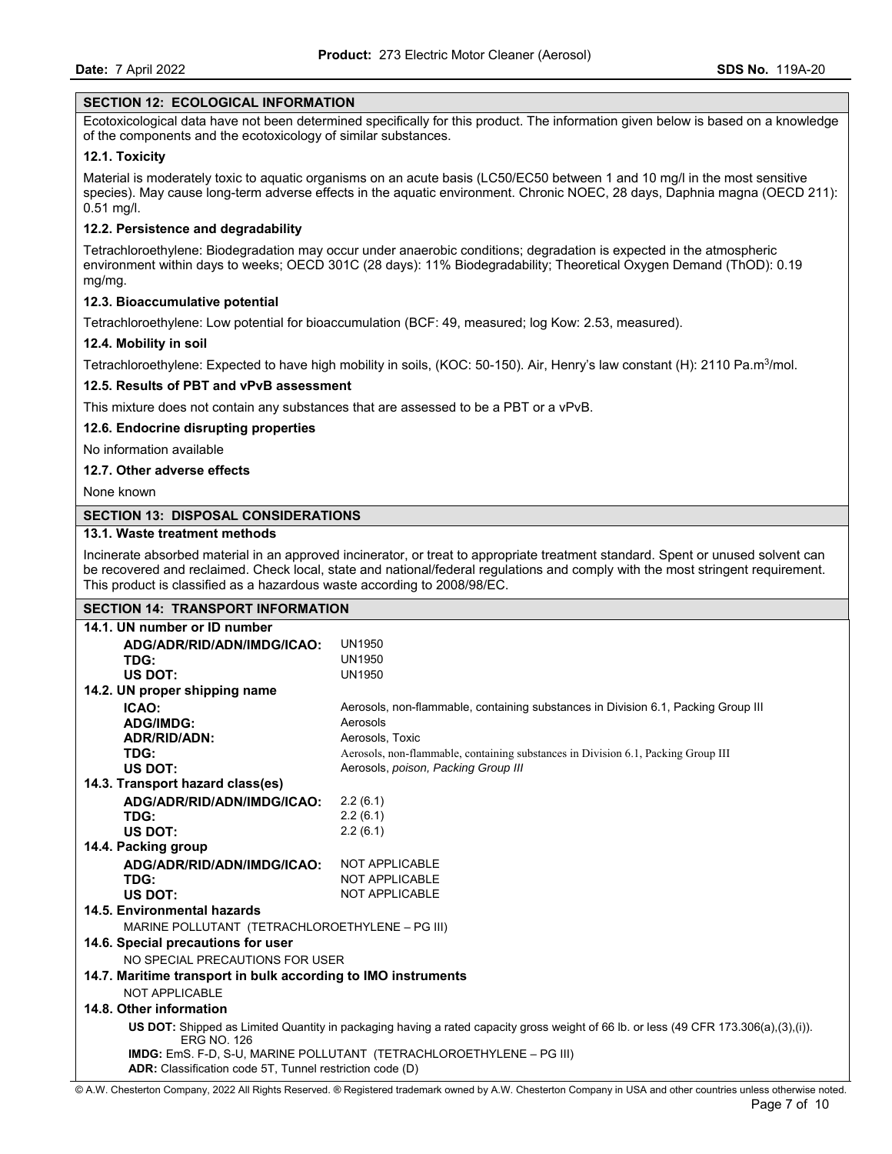#### **SECTION 12: ECOLOGICAL INFORMATION**

Ecotoxicological data have not been determined specifically for this product. The information given below is based on a knowledge of the components and the ecotoxicology of similar substances.

### **12.1. Toxicity**

Material is moderately toxic to aquatic organisms on an acute basis (LC50/EC50 between 1 and 10 mg/l in the most sensitive species). May cause long-term adverse effects in the aquatic environment. Chronic NOEC, 28 days, Daphnia magna (OECD 211): 0.51 mg/l.

## **12.2. Persistence and degradability**

Tetrachloroethylene: Biodegradation may occur under anaerobic conditions; degradation is expected in the atmospheric environment within days to weeks; OECD 301C (28 days): 11% Biodegradability; Theoretical Oxygen Demand (ThOD): 0.19 mg/mg.

#### **12.3. Bioaccumulative potential**

Tetrachloroethylene: Low potential for bioaccumulation (BCF: 49, measured; log Kow: 2.53, measured).

#### **12.4. Mobility in soil**

Tetrachloroethylene: Expected to have high mobility in soils, (KOC: 50-150). Air, Henry's law constant (H): 2110 Pa.m<sup>3</sup>/mol.

#### **12.5. Results of PBT and vPvB assessment**

This mixture does not contain any substances that are assessed to be a PBT or a vPvB.

#### **12.6. Endocrine disrupting properties**

No information available

#### **12.7. Other adverse effects**

None known

### **SECTION 13: DISPOSAL CONSIDERATIONS**

### **13.1. Waste treatment methods**

Incinerate absorbed material in an approved incinerator, or treat to appropriate treatment standard. Spent or unused solvent can be recovered and reclaimed. Check local, state and national/federal regulations and comply with the most stringent requirement. This product is classified as a hazardous waste according to 2008/98/EC.

| <b>SECTION 14: TRANSPORT INFORMATION</b>                                                                                                                   |                                                                                   |  |
|------------------------------------------------------------------------------------------------------------------------------------------------------------|-----------------------------------------------------------------------------------|--|
| 14.1. UN number or ID number                                                                                                                               |                                                                                   |  |
| ADG/ADR/RID/ADN/IMDG/ICAO:                                                                                                                                 | <b>UN1950</b>                                                                     |  |
| TDG:                                                                                                                                                       | UN1950                                                                            |  |
| US DOT:                                                                                                                                                    | <b>UN1950</b>                                                                     |  |
| 14.2. UN proper shipping name                                                                                                                              |                                                                                   |  |
| ICAO:                                                                                                                                                      | Aerosols, non-flammable, containing substances in Division 6.1, Packing Group III |  |
| <b>ADG/IMDG:</b>                                                                                                                                           | Aerosols                                                                          |  |
| <b>ADR/RID/ADN:</b>                                                                                                                                        | Aerosols, Toxic                                                                   |  |
| TDG:                                                                                                                                                       | Aerosols, non-flammable, containing substances in Division 6.1, Packing Group III |  |
| US DOT:                                                                                                                                                    | Aerosols, poison, Packing Group III                                               |  |
| 14.3. Transport hazard class(es)                                                                                                                           |                                                                                   |  |
| ADG/ADR/RID/ADN/IMDG/ICAO:                                                                                                                                 | 2.2(6.1)                                                                          |  |
| TDG:                                                                                                                                                       | 2.2(6.1)                                                                          |  |
| US DOT:                                                                                                                                                    | 2.2(6.1)                                                                          |  |
| 14.4. Packing group                                                                                                                                        |                                                                                   |  |
| ADG/ADR/RID/ADN/IMDG/ICAO:                                                                                                                                 | NOT APPLICABLE                                                                    |  |
| TDG:                                                                                                                                                       | NOT APPLICABLE                                                                    |  |
| US DOT:                                                                                                                                                    | <b>NOT APPLICABLE</b>                                                             |  |
| 14.5. Environmental hazards                                                                                                                                |                                                                                   |  |
| MARINE POLLUTANT (TETRACHLOROETHYLENE - PG III)                                                                                                            |                                                                                   |  |
| 14.6. Special precautions for user                                                                                                                         |                                                                                   |  |
| NO SPECIAL PRECAUTIONS FOR USER                                                                                                                            |                                                                                   |  |
| 14.7. Maritime transport in bulk according to IMO instruments                                                                                              |                                                                                   |  |
| NOT APPLICABLE                                                                                                                                             |                                                                                   |  |
| 14.8. Other information                                                                                                                                    |                                                                                   |  |
| US DOT: Shipped as Limited Quantity in packaging having a rated capacity gross weight of 66 lb. or less (49 CFR 173.306(a),(3),(i)).<br><b>ERG NO. 126</b> |                                                                                   |  |
| IMDG: EmS. F-D, S-U, MARINE POLLUTANT (TETRACHLOROETHYLENE - PG III)                                                                                       |                                                                                   |  |
| ADR: Classification code 5T, Tunnel restriction code (D)                                                                                                   |                                                                                   |  |

© A.W. Chesterton Company, 2022 All Rights Reserved. ® Registered trademark owned by A.W. Chesterton Company in USA and other countries unless otherwise noted.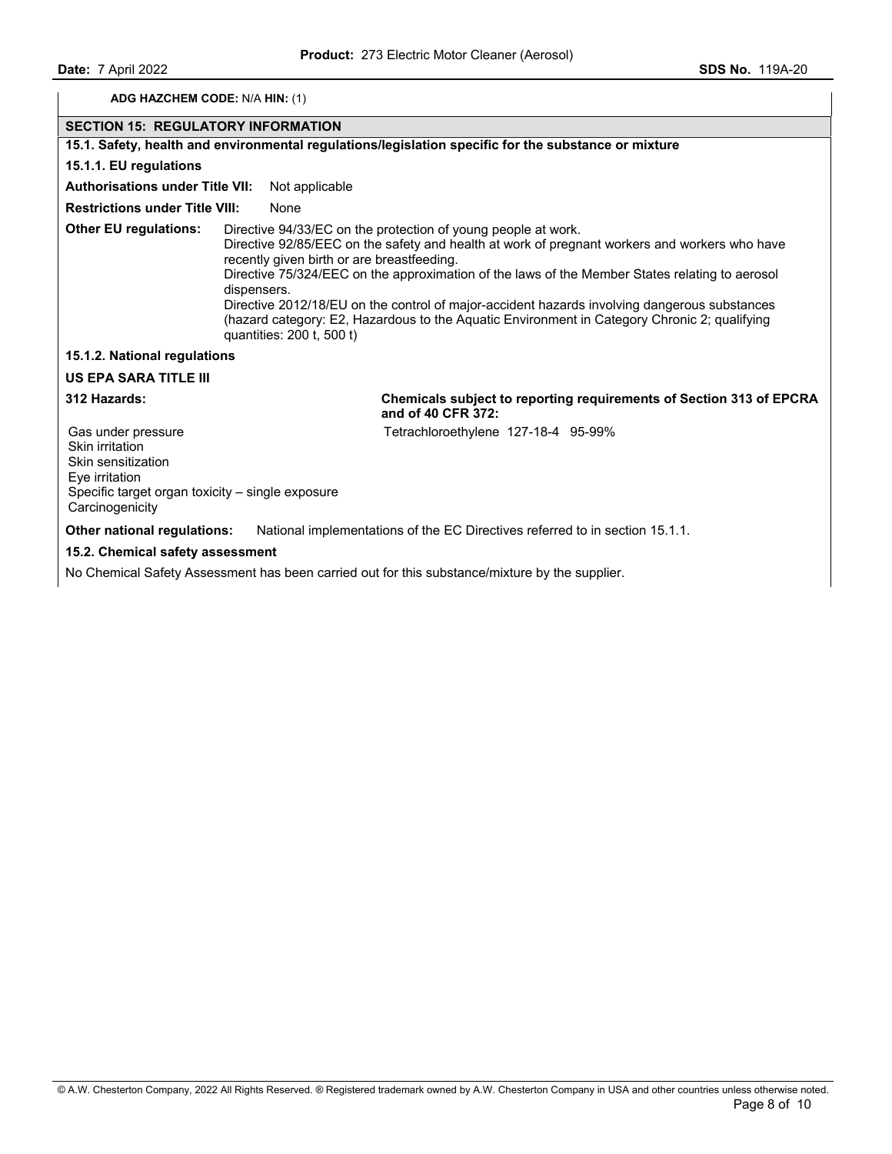## **ADG HAZCHEM CODE:** N/A **HIN:** (1)

## **SECTION 15: REGULATORY INFORMATION**

### **15.1. Safety, health and environmental regulations/legislation specific for the substance or mixture**

#### **15.1.1. EU regulations**

### **Authorisations under Title VII:** Not applicable

## **Restrictions under Title VIII: None**

**Other EU regulations:** Directive 94/33/EC on the protection of young people at work. Directive 92/85/EEC on the safety and health at work of pregnant workers and workers who have recently given birth or are breastfeeding. Directive 75/324/EEC on the approximation of the laws of the Member States relating to aerosol dispensers. Directive 2012/18/EU on the control of major-accident hazards involving dangerous substances (hazard category: E2, Hazardous to the Aquatic Environment in Category Chronic 2; qualifying quantities: 200 t, 500 t)

#### **15.1.2. National regulations**

# **US EPA SARA TITLE III**

**312 Hazards: Chemicals subject to reporting requirements of Section 313 of EPCRA and of 40 CFR 372:** 

Tetrachloroethylene 127-18-4 95-99%

Gas under pressure Skin irritation Skin sensitization Eye irritation Specific target organ toxicity – single exposure **Carcinogenicity** 

**Other national regulations:** National implementations of the EC Directives referred to in section 15.1.1.

#### **15.2. Chemical safety assessment**

No Chemical Safety Assessment has been carried out for this substance/mixture by the supplier.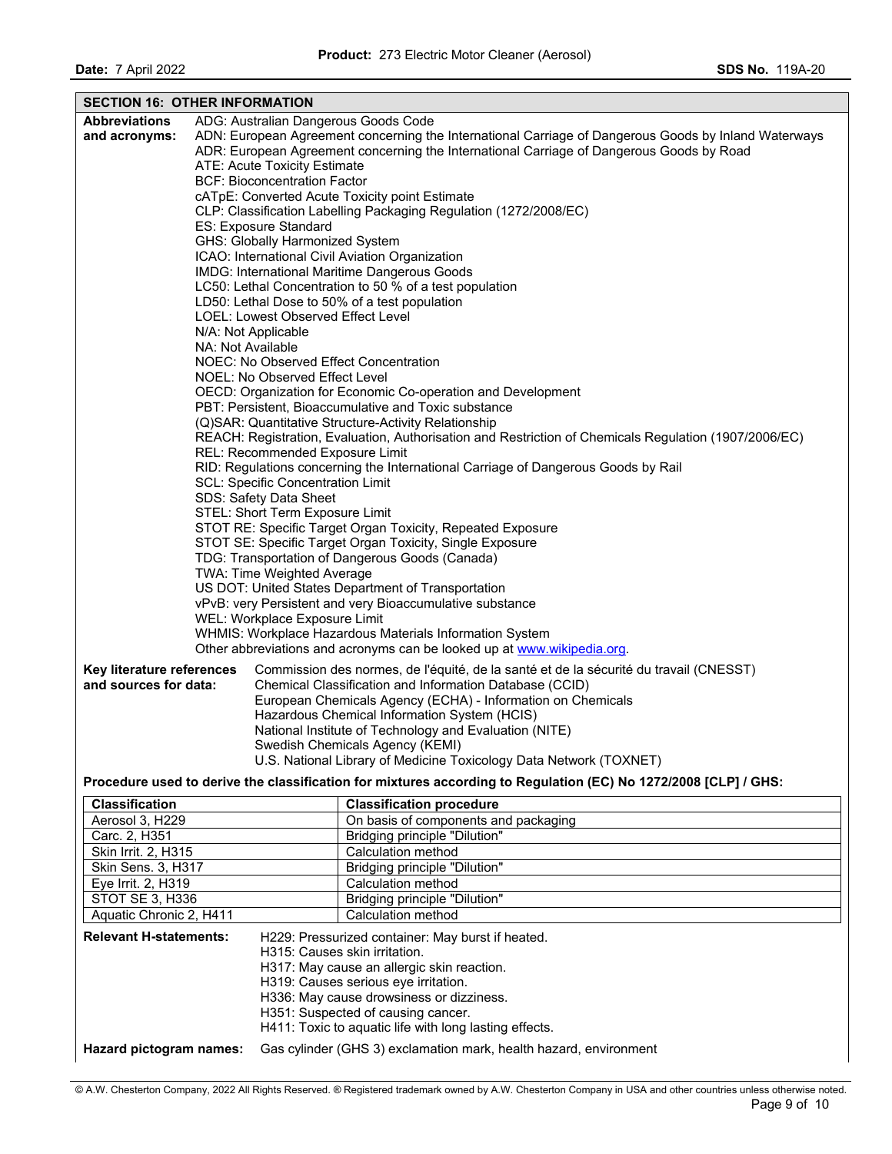**Date:** 7 April 2022 **SDS No.** 119A-20

| <b>Abbreviations</b><br>ADG: Australian Dangerous Goods Code<br>ADN: European Agreement concerning the International Carriage of Dangerous Goods by Inland Waterways<br>and acronyms:<br>ADR: European Agreement concerning the International Carriage of Dangerous Goods by Road<br>ATE: Acute Toxicity Estimate<br><b>BCF: Bioconcentration Factor</b><br>cATpE: Converted Acute Toxicity point Estimate<br>CLP: Classification Labelling Packaging Regulation (1272/2008/EC)<br>ES: Exposure Standard<br>GHS: Globally Harmonized System<br>ICAO: International Civil Aviation Organization<br>IMDG: International Maritime Dangerous Goods<br>LC50: Lethal Concentration to 50 % of a test population<br>LD50: Lethal Dose to 50% of a test population<br>LOEL: Lowest Observed Effect Level<br>N/A: Not Applicable<br>NA: Not Available<br>NOEC: No Observed Effect Concentration<br>NOEL: No Observed Effect Level<br>OECD: Organization for Economic Co-operation and Development<br>PBT: Persistent, Bioaccumulative and Toxic substance<br>(Q)SAR: Quantitative Structure-Activity Relationship<br>REACH: Registration, Evaluation, Authorisation and Restriction of Chemicals Regulation (1907/2006/EC)<br><b>REL: Recommended Exposure Limit</b><br>RID: Regulations concerning the International Carriage of Dangerous Goods by Rail<br>SCL: Specific Concentration Limit<br>SDS: Safety Data Sheet<br>STEL: Short Term Exposure Limit<br>STOT RE: Specific Target Organ Toxicity, Repeated Exposure<br>STOT SE: Specific Target Organ Toxicity, Single Exposure<br>TDG: Transportation of Dangerous Goods (Canada)<br>TWA: Time Weighted Average<br>US DOT: United States Department of Transportation<br>vPvB: very Persistent and very Bioaccumulative substance<br>WEL: Workplace Exposure Limit<br>WHMIS: Workplace Hazardous Materials Information System<br>Other abbreviations and acronyms can be looked up at www.wikipedia.org.<br>Key literature references<br>Commission des normes, de l'équité, de la santé et de la sécurité du travail (CNESST)<br>and sources for data:<br>Chemical Classification and Information Database (CCID)<br>European Chemicals Agency (ECHA) - Information on Chemicals<br>Hazardous Chemical Information System (HCIS)<br>National Institute of Technology and Evaluation (NITE)<br>Swedish Chemicals Agency (KEMI)<br>U.S. National Library of Medicine Toxicology Data Network (TOXNET) | <b>SECTION 16: OTHER INFORMATION</b> |  |  |  |  |
|----------------------------------------------------------------------------------------------------------------------------------------------------------------------------------------------------------------------------------------------------------------------------------------------------------------------------------------------------------------------------------------------------------------------------------------------------------------------------------------------------------------------------------------------------------------------------------------------------------------------------------------------------------------------------------------------------------------------------------------------------------------------------------------------------------------------------------------------------------------------------------------------------------------------------------------------------------------------------------------------------------------------------------------------------------------------------------------------------------------------------------------------------------------------------------------------------------------------------------------------------------------------------------------------------------------------------------------------------------------------------------------------------------------------------------------------------------------------------------------------------------------------------------------------------------------------------------------------------------------------------------------------------------------------------------------------------------------------------------------------------------------------------------------------------------------------------------------------------------------------------------------------------------------------------------------------------------------------------------------------------------------------------------------------------------------------------------------------------------------------------------------------------------------------------------------------------------------------------------------------------------------------------------------------------------------------------------------------------------------------------------------------------------------------------------------------------|--------------------------------------|--|--|--|--|
|                                                                                                                                                                                                                                                                                                                                                                                                                                                                                                                                                                                                                                                                                                                                                                                                                                                                                                                                                                                                                                                                                                                                                                                                                                                                                                                                                                                                                                                                                                                                                                                                                                                                                                                                                                                                                                                                                                                                                                                                                                                                                                                                                                                                                                                                                                                                                                                                                                                    |                                      |  |  |  |  |
|                                                                                                                                                                                                                                                                                                                                                                                                                                                                                                                                                                                                                                                                                                                                                                                                                                                                                                                                                                                                                                                                                                                                                                                                                                                                                                                                                                                                                                                                                                                                                                                                                                                                                                                                                                                                                                                                                                                                                                                                                                                                                                                                                                                                                                                                                                                                                                                                                                                    |                                      |  |  |  |  |
|                                                                                                                                                                                                                                                                                                                                                                                                                                                                                                                                                                                                                                                                                                                                                                                                                                                                                                                                                                                                                                                                                                                                                                                                                                                                                                                                                                                                                                                                                                                                                                                                                                                                                                                                                                                                                                                                                                                                                                                                                                                                                                                                                                                                                                                                                                                                                                                                                                                    |                                      |  |  |  |  |
|                                                                                                                                                                                                                                                                                                                                                                                                                                                                                                                                                                                                                                                                                                                                                                                                                                                                                                                                                                                                                                                                                                                                                                                                                                                                                                                                                                                                                                                                                                                                                                                                                                                                                                                                                                                                                                                                                                                                                                                                                                                                                                                                                                                                                                                                                                                                                                                                                                                    |                                      |  |  |  |  |
|                                                                                                                                                                                                                                                                                                                                                                                                                                                                                                                                                                                                                                                                                                                                                                                                                                                                                                                                                                                                                                                                                                                                                                                                                                                                                                                                                                                                                                                                                                                                                                                                                                                                                                                                                                                                                                                                                                                                                                                                                                                                                                                                                                                                                                                                                                                                                                                                                                                    |                                      |  |  |  |  |
|                                                                                                                                                                                                                                                                                                                                                                                                                                                                                                                                                                                                                                                                                                                                                                                                                                                                                                                                                                                                                                                                                                                                                                                                                                                                                                                                                                                                                                                                                                                                                                                                                                                                                                                                                                                                                                                                                                                                                                                                                                                                                                                                                                                                                                                                                                                                                                                                                                                    |                                      |  |  |  |  |
|                                                                                                                                                                                                                                                                                                                                                                                                                                                                                                                                                                                                                                                                                                                                                                                                                                                                                                                                                                                                                                                                                                                                                                                                                                                                                                                                                                                                                                                                                                                                                                                                                                                                                                                                                                                                                                                                                                                                                                                                                                                                                                                                                                                                                                                                                                                                                                                                                                                    |                                      |  |  |  |  |
|                                                                                                                                                                                                                                                                                                                                                                                                                                                                                                                                                                                                                                                                                                                                                                                                                                                                                                                                                                                                                                                                                                                                                                                                                                                                                                                                                                                                                                                                                                                                                                                                                                                                                                                                                                                                                                                                                                                                                                                                                                                                                                                                                                                                                                                                                                                                                                                                                                                    |                                      |  |  |  |  |
|                                                                                                                                                                                                                                                                                                                                                                                                                                                                                                                                                                                                                                                                                                                                                                                                                                                                                                                                                                                                                                                                                                                                                                                                                                                                                                                                                                                                                                                                                                                                                                                                                                                                                                                                                                                                                                                                                                                                                                                                                                                                                                                                                                                                                                                                                                                                                                                                                                                    |                                      |  |  |  |  |
|                                                                                                                                                                                                                                                                                                                                                                                                                                                                                                                                                                                                                                                                                                                                                                                                                                                                                                                                                                                                                                                                                                                                                                                                                                                                                                                                                                                                                                                                                                                                                                                                                                                                                                                                                                                                                                                                                                                                                                                                                                                                                                                                                                                                                                                                                                                                                                                                                                                    |                                      |  |  |  |  |
|                                                                                                                                                                                                                                                                                                                                                                                                                                                                                                                                                                                                                                                                                                                                                                                                                                                                                                                                                                                                                                                                                                                                                                                                                                                                                                                                                                                                                                                                                                                                                                                                                                                                                                                                                                                                                                                                                                                                                                                                                                                                                                                                                                                                                                                                                                                                                                                                                                                    |                                      |  |  |  |  |
|                                                                                                                                                                                                                                                                                                                                                                                                                                                                                                                                                                                                                                                                                                                                                                                                                                                                                                                                                                                                                                                                                                                                                                                                                                                                                                                                                                                                                                                                                                                                                                                                                                                                                                                                                                                                                                                                                                                                                                                                                                                                                                                                                                                                                                                                                                                                                                                                                                                    |                                      |  |  |  |  |
|                                                                                                                                                                                                                                                                                                                                                                                                                                                                                                                                                                                                                                                                                                                                                                                                                                                                                                                                                                                                                                                                                                                                                                                                                                                                                                                                                                                                                                                                                                                                                                                                                                                                                                                                                                                                                                                                                                                                                                                                                                                                                                                                                                                                                                                                                                                                                                                                                                                    |                                      |  |  |  |  |
|                                                                                                                                                                                                                                                                                                                                                                                                                                                                                                                                                                                                                                                                                                                                                                                                                                                                                                                                                                                                                                                                                                                                                                                                                                                                                                                                                                                                                                                                                                                                                                                                                                                                                                                                                                                                                                                                                                                                                                                                                                                                                                                                                                                                                                                                                                                                                                                                                                                    |                                      |  |  |  |  |
|                                                                                                                                                                                                                                                                                                                                                                                                                                                                                                                                                                                                                                                                                                                                                                                                                                                                                                                                                                                                                                                                                                                                                                                                                                                                                                                                                                                                                                                                                                                                                                                                                                                                                                                                                                                                                                                                                                                                                                                                                                                                                                                                                                                                                                                                                                                                                                                                                                                    |                                      |  |  |  |  |
|                                                                                                                                                                                                                                                                                                                                                                                                                                                                                                                                                                                                                                                                                                                                                                                                                                                                                                                                                                                                                                                                                                                                                                                                                                                                                                                                                                                                                                                                                                                                                                                                                                                                                                                                                                                                                                                                                                                                                                                                                                                                                                                                                                                                                                                                                                                                                                                                                                                    |                                      |  |  |  |  |
|                                                                                                                                                                                                                                                                                                                                                                                                                                                                                                                                                                                                                                                                                                                                                                                                                                                                                                                                                                                                                                                                                                                                                                                                                                                                                                                                                                                                                                                                                                                                                                                                                                                                                                                                                                                                                                                                                                                                                                                                                                                                                                                                                                                                                                                                                                                                                                                                                                                    |                                      |  |  |  |  |
|                                                                                                                                                                                                                                                                                                                                                                                                                                                                                                                                                                                                                                                                                                                                                                                                                                                                                                                                                                                                                                                                                                                                                                                                                                                                                                                                                                                                                                                                                                                                                                                                                                                                                                                                                                                                                                                                                                                                                                                                                                                                                                                                                                                                                                                                                                                                                                                                                                                    |                                      |  |  |  |  |
|                                                                                                                                                                                                                                                                                                                                                                                                                                                                                                                                                                                                                                                                                                                                                                                                                                                                                                                                                                                                                                                                                                                                                                                                                                                                                                                                                                                                                                                                                                                                                                                                                                                                                                                                                                                                                                                                                                                                                                                                                                                                                                                                                                                                                                                                                                                                                                                                                                                    |                                      |  |  |  |  |
|                                                                                                                                                                                                                                                                                                                                                                                                                                                                                                                                                                                                                                                                                                                                                                                                                                                                                                                                                                                                                                                                                                                                                                                                                                                                                                                                                                                                                                                                                                                                                                                                                                                                                                                                                                                                                                                                                                                                                                                                                                                                                                                                                                                                                                                                                                                                                                                                                                                    |                                      |  |  |  |  |
|                                                                                                                                                                                                                                                                                                                                                                                                                                                                                                                                                                                                                                                                                                                                                                                                                                                                                                                                                                                                                                                                                                                                                                                                                                                                                                                                                                                                                                                                                                                                                                                                                                                                                                                                                                                                                                                                                                                                                                                                                                                                                                                                                                                                                                                                                                                                                                                                                                                    |                                      |  |  |  |  |
|                                                                                                                                                                                                                                                                                                                                                                                                                                                                                                                                                                                                                                                                                                                                                                                                                                                                                                                                                                                                                                                                                                                                                                                                                                                                                                                                                                                                                                                                                                                                                                                                                                                                                                                                                                                                                                                                                                                                                                                                                                                                                                                                                                                                                                                                                                                                                                                                                                                    |                                      |  |  |  |  |
|                                                                                                                                                                                                                                                                                                                                                                                                                                                                                                                                                                                                                                                                                                                                                                                                                                                                                                                                                                                                                                                                                                                                                                                                                                                                                                                                                                                                                                                                                                                                                                                                                                                                                                                                                                                                                                                                                                                                                                                                                                                                                                                                                                                                                                                                                                                                                                                                                                                    |                                      |  |  |  |  |
|                                                                                                                                                                                                                                                                                                                                                                                                                                                                                                                                                                                                                                                                                                                                                                                                                                                                                                                                                                                                                                                                                                                                                                                                                                                                                                                                                                                                                                                                                                                                                                                                                                                                                                                                                                                                                                                                                                                                                                                                                                                                                                                                                                                                                                                                                                                                                                                                                                                    |                                      |  |  |  |  |
|                                                                                                                                                                                                                                                                                                                                                                                                                                                                                                                                                                                                                                                                                                                                                                                                                                                                                                                                                                                                                                                                                                                                                                                                                                                                                                                                                                                                                                                                                                                                                                                                                                                                                                                                                                                                                                                                                                                                                                                                                                                                                                                                                                                                                                                                                                                                                                                                                                                    |                                      |  |  |  |  |
|                                                                                                                                                                                                                                                                                                                                                                                                                                                                                                                                                                                                                                                                                                                                                                                                                                                                                                                                                                                                                                                                                                                                                                                                                                                                                                                                                                                                                                                                                                                                                                                                                                                                                                                                                                                                                                                                                                                                                                                                                                                                                                                                                                                                                                                                                                                                                                                                                                                    |                                      |  |  |  |  |
|                                                                                                                                                                                                                                                                                                                                                                                                                                                                                                                                                                                                                                                                                                                                                                                                                                                                                                                                                                                                                                                                                                                                                                                                                                                                                                                                                                                                                                                                                                                                                                                                                                                                                                                                                                                                                                                                                                                                                                                                                                                                                                                                                                                                                                                                                                                                                                                                                                                    |                                      |  |  |  |  |
|                                                                                                                                                                                                                                                                                                                                                                                                                                                                                                                                                                                                                                                                                                                                                                                                                                                                                                                                                                                                                                                                                                                                                                                                                                                                                                                                                                                                                                                                                                                                                                                                                                                                                                                                                                                                                                                                                                                                                                                                                                                                                                                                                                                                                                                                                                                                                                                                                                                    |                                      |  |  |  |  |
|                                                                                                                                                                                                                                                                                                                                                                                                                                                                                                                                                                                                                                                                                                                                                                                                                                                                                                                                                                                                                                                                                                                                                                                                                                                                                                                                                                                                                                                                                                                                                                                                                                                                                                                                                                                                                                                                                                                                                                                                                                                                                                                                                                                                                                                                                                                                                                                                                                                    |                                      |  |  |  |  |
|                                                                                                                                                                                                                                                                                                                                                                                                                                                                                                                                                                                                                                                                                                                                                                                                                                                                                                                                                                                                                                                                                                                                                                                                                                                                                                                                                                                                                                                                                                                                                                                                                                                                                                                                                                                                                                                                                                                                                                                                                                                                                                                                                                                                                                                                                                                                                                                                                                                    |                                      |  |  |  |  |
|                                                                                                                                                                                                                                                                                                                                                                                                                                                                                                                                                                                                                                                                                                                                                                                                                                                                                                                                                                                                                                                                                                                                                                                                                                                                                                                                                                                                                                                                                                                                                                                                                                                                                                                                                                                                                                                                                                                                                                                                                                                                                                                                                                                                                                                                                                                                                                                                                                                    |                                      |  |  |  |  |
|                                                                                                                                                                                                                                                                                                                                                                                                                                                                                                                                                                                                                                                                                                                                                                                                                                                                                                                                                                                                                                                                                                                                                                                                                                                                                                                                                                                                                                                                                                                                                                                                                                                                                                                                                                                                                                                                                                                                                                                                                                                                                                                                                                                                                                                                                                                                                                                                                                                    |                                      |  |  |  |  |
|                                                                                                                                                                                                                                                                                                                                                                                                                                                                                                                                                                                                                                                                                                                                                                                                                                                                                                                                                                                                                                                                                                                                                                                                                                                                                                                                                                                                                                                                                                                                                                                                                                                                                                                                                                                                                                                                                                                                                                                                                                                                                                                                                                                                                                                                                                                                                                                                                                                    |                                      |  |  |  |  |
|                                                                                                                                                                                                                                                                                                                                                                                                                                                                                                                                                                                                                                                                                                                                                                                                                                                                                                                                                                                                                                                                                                                                                                                                                                                                                                                                                                                                                                                                                                                                                                                                                                                                                                                                                                                                                                                                                                                                                                                                                                                                                                                                                                                                                                                                                                                                                                                                                                                    |                                      |  |  |  |  |
|                                                                                                                                                                                                                                                                                                                                                                                                                                                                                                                                                                                                                                                                                                                                                                                                                                                                                                                                                                                                                                                                                                                                                                                                                                                                                                                                                                                                                                                                                                                                                                                                                                                                                                                                                                                                                                                                                                                                                                                                                                                                                                                                                                                                                                                                                                                                                                                                                                                    |                                      |  |  |  |  |
|                                                                                                                                                                                                                                                                                                                                                                                                                                                                                                                                                                                                                                                                                                                                                                                                                                                                                                                                                                                                                                                                                                                                                                                                                                                                                                                                                                                                                                                                                                                                                                                                                                                                                                                                                                                                                                                                                                                                                                                                                                                                                                                                                                                                                                                                                                                                                                                                                                                    |                                      |  |  |  |  |
|                                                                                                                                                                                                                                                                                                                                                                                                                                                                                                                                                                                                                                                                                                                                                                                                                                                                                                                                                                                                                                                                                                                                                                                                                                                                                                                                                                                                                                                                                                                                                                                                                                                                                                                                                                                                                                                                                                                                                                                                                                                                                                                                                                                                                                                                                                                                                                                                                                                    |                                      |  |  |  |  |
|                                                                                                                                                                                                                                                                                                                                                                                                                                                                                                                                                                                                                                                                                                                                                                                                                                                                                                                                                                                                                                                                                                                                                                                                                                                                                                                                                                                                                                                                                                                                                                                                                                                                                                                                                                                                                                                                                                                                                                                                                                                                                                                                                                                                                                                                                                                                                                                                                                                    |                                      |  |  |  |  |
|                                                                                                                                                                                                                                                                                                                                                                                                                                                                                                                                                                                                                                                                                                                                                                                                                                                                                                                                                                                                                                                                                                                                                                                                                                                                                                                                                                                                                                                                                                                                                                                                                                                                                                                                                                                                                                                                                                                                                                                                                                                                                                                                                                                                                                                                                                                                                                                                                                                    |                                      |  |  |  |  |
|                                                                                                                                                                                                                                                                                                                                                                                                                                                                                                                                                                                                                                                                                                                                                                                                                                                                                                                                                                                                                                                                                                                                                                                                                                                                                                                                                                                                                                                                                                                                                                                                                                                                                                                                                                                                                                                                                                                                                                                                                                                                                                                                                                                                                                                                                                                                                                                                                                                    |                                      |  |  |  |  |
|                                                                                                                                                                                                                                                                                                                                                                                                                                                                                                                                                                                                                                                                                                                                                                                                                                                                                                                                                                                                                                                                                                                                                                                                                                                                                                                                                                                                                                                                                                                                                                                                                                                                                                                                                                                                                                                                                                                                                                                                                                                                                                                                                                                                                                                                                                                                                                                                                                                    |                                      |  |  |  |  |
|                                                                                                                                                                                                                                                                                                                                                                                                                                                                                                                                                                                                                                                                                                                                                                                                                                                                                                                                                                                                                                                                                                                                                                                                                                                                                                                                                                                                                                                                                                                                                                                                                                                                                                                                                                                                                                                                                                                                                                                                                                                                                                                                                                                                                                                                                                                                                                                                                                                    |                                      |  |  |  |  |
| Procedure used to derive the classification for mixtures according to Regulation (EC) No 1272/2008 [CLP] / GHS:                                                                                                                                                                                                                                                                                                                                                                                                                                                                                                                                                                                                                                                                                                                                                                                                                                                                                                                                                                                                                                                                                                                                                                                                                                                                                                                                                                                                                                                                                                                                                                                                                                                                                                                                                                                                                                                                                                                                                                                                                                                                                                                                                                                                                                                                                                                                    |                                      |  |  |  |  |
| <b>Classification</b><br><b>Classification procedure</b>                                                                                                                                                                                                                                                                                                                                                                                                                                                                                                                                                                                                                                                                                                                                                                                                                                                                                                                                                                                                                                                                                                                                                                                                                                                                                                                                                                                                                                                                                                                                                                                                                                                                                                                                                                                                                                                                                                                                                                                                                                                                                                                                                                                                                                                                                                                                                                                           |                                      |  |  |  |  |
| Aerosol 3, H229<br>On basis of components and packaging                                                                                                                                                                                                                                                                                                                                                                                                                                                                                                                                                                                                                                                                                                                                                                                                                                                                                                                                                                                                                                                                                                                                                                                                                                                                                                                                                                                                                                                                                                                                                                                                                                                                                                                                                                                                                                                                                                                                                                                                                                                                                                                                                                                                                                                                                                                                                                                            |                                      |  |  |  |  |
| Carc. 2, H351<br>Bridging principle "Dilution"                                                                                                                                                                                                                                                                                                                                                                                                                                                                                                                                                                                                                                                                                                                                                                                                                                                                                                                                                                                                                                                                                                                                                                                                                                                                                                                                                                                                                                                                                                                                                                                                                                                                                                                                                                                                                                                                                                                                                                                                                                                                                                                                                                                                                                                                                                                                                                                                     |                                      |  |  |  |  |
| Calculation method<br>Skin Irrit. 2, H315                                                                                                                                                                                                                                                                                                                                                                                                                                                                                                                                                                                                                                                                                                                                                                                                                                                                                                                                                                                                                                                                                                                                                                                                                                                                                                                                                                                                                                                                                                                                                                                                                                                                                                                                                                                                                                                                                                                                                                                                                                                                                                                                                                                                                                                                                                                                                                                                          |                                      |  |  |  |  |
| Skin Sens. 3, H317<br><b>Bridging principle "Dilution"</b>                                                                                                                                                                                                                                                                                                                                                                                                                                                                                                                                                                                                                                                                                                                                                                                                                                                                                                                                                                                                                                                                                                                                                                                                                                                                                                                                                                                                                                                                                                                                                                                                                                                                                                                                                                                                                                                                                                                                                                                                                                                                                                                                                                                                                                                                                                                                                                                         |                                      |  |  |  |  |
| Calculation method<br>Eye Irrit. 2, H319                                                                                                                                                                                                                                                                                                                                                                                                                                                                                                                                                                                                                                                                                                                                                                                                                                                                                                                                                                                                                                                                                                                                                                                                                                                                                                                                                                                                                                                                                                                                                                                                                                                                                                                                                                                                                                                                                                                                                                                                                                                                                                                                                                                                                                                                                                                                                                                                           |                                      |  |  |  |  |
| STOT SE 3, H336<br>Bridging principle "Dilution"                                                                                                                                                                                                                                                                                                                                                                                                                                                                                                                                                                                                                                                                                                                                                                                                                                                                                                                                                                                                                                                                                                                                                                                                                                                                                                                                                                                                                                                                                                                                                                                                                                                                                                                                                                                                                                                                                                                                                                                                                                                                                                                                                                                                                                                                                                                                                                                                   |                                      |  |  |  |  |
| Calculation method<br>Aquatic Chronic 2, H411                                                                                                                                                                                                                                                                                                                                                                                                                                                                                                                                                                                                                                                                                                                                                                                                                                                                                                                                                                                                                                                                                                                                                                                                                                                                                                                                                                                                                                                                                                                                                                                                                                                                                                                                                                                                                                                                                                                                                                                                                                                                                                                                                                                                                                                                                                                                                                                                      |                                      |  |  |  |  |
| <b>Relevant H-statements:</b><br>H229: Pressurized container: May burst if heated.                                                                                                                                                                                                                                                                                                                                                                                                                                                                                                                                                                                                                                                                                                                                                                                                                                                                                                                                                                                                                                                                                                                                                                                                                                                                                                                                                                                                                                                                                                                                                                                                                                                                                                                                                                                                                                                                                                                                                                                                                                                                                                                                                                                                                                                                                                                                                                 |                                      |  |  |  |  |
| H315: Causes skin irritation.                                                                                                                                                                                                                                                                                                                                                                                                                                                                                                                                                                                                                                                                                                                                                                                                                                                                                                                                                                                                                                                                                                                                                                                                                                                                                                                                                                                                                                                                                                                                                                                                                                                                                                                                                                                                                                                                                                                                                                                                                                                                                                                                                                                                                                                                                                                                                                                                                      |                                      |  |  |  |  |
| H317: May cause an allergic skin reaction.                                                                                                                                                                                                                                                                                                                                                                                                                                                                                                                                                                                                                                                                                                                                                                                                                                                                                                                                                                                                                                                                                                                                                                                                                                                                                                                                                                                                                                                                                                                                                                                                                                                                                                                                                                                                                                                                                                                                                                                                                                                                                                                                                                                                                                                                                                                                                                                                         |                                      |  |  |  |  |
| H319: Causes serious eye irritation.                                                                                                                                                                                                                                                                                                                                                                                                                                                                                                                                                                                                                                                                                                                                                                                                                                                                                                                                                                                                                                                                                                                                                                                                                                                                                                                                                                                                                                                                                                                                                                                                                                                                                                                                                                                                                                                                                                                                                                                                                                                                                                                                                                                                                                                                                                                                                                                                               |                                      |  |  |  |  |
| H336: May cause drowsiness or dizziness.                                                                                                                                                                                                                                                                                                                                                                                                                                                                                                                                                                                                                                                                                                                                                                                                                                                                                                                                                                                                                                                                                                                                                                                                                                                                                                                                                                                                                                                                                                                                                                                                                                                                                                                                                                                                                                                                                                                                                                                                                                                                                                                                                                                                                                                                                                                                                                                                           |                                      |  |  |  |  |
| H351: Suspected of causing cancer.                                                                                                                                                                                                                                                                                                                                                                                                                                                                                                                                                                                                                                                                                                                                                                                                                                                                                                                                                                                                                                                                                                                                                                                                                                                                                                                                                                                                                                                                                                                                                                                                                                                                                                                                                                                                                                                                                                                                                                                                                                                                                                                                                                                                                                                                                                                                                                                                                 |                                      |  |  |  |  |
| H411: Toxic to aquatic life with long lasting effects.                                                                                                                                                                                                                                                                                                                                                                                                                                                                                                                                                                                                                                                                                                                                                                                                                                                                                                                                                                                                                                                                                                                                                                                                                                                                                                                                                                                                                                                                                                                                                                                                                                                                                                                                                                                                                                                                                                                                                                                                                                                                                                                                                                                                                                                                                                                                                                                             |                                      |  |  |  |  |
| Hazard pictogram names:<br>Gas cylinder (GHS 3) exclamation mark, health hazard, environment                                                                                                                                                                                                                                                                                                                                                                                                                                                                                                                                                                                                                                                                                                                                                                                                                                                                                                                                                                                                                                                                                                                                                                                                                                                                                                                                                                                                                                                                                                                                                                                                                                                                                                                                                                                                                                                                                                                                                                                                                                                                                                                                                                                                                                                                                                                                                       |                                      |  |  |  |  |

<sup>©</sup> A.W. Chesterton Company, 2022 All Rights Reserved. ® Registered trademark owned by A.W. Chesterton Company in USA and other countries unless otherwise noted. Page 9 of 10